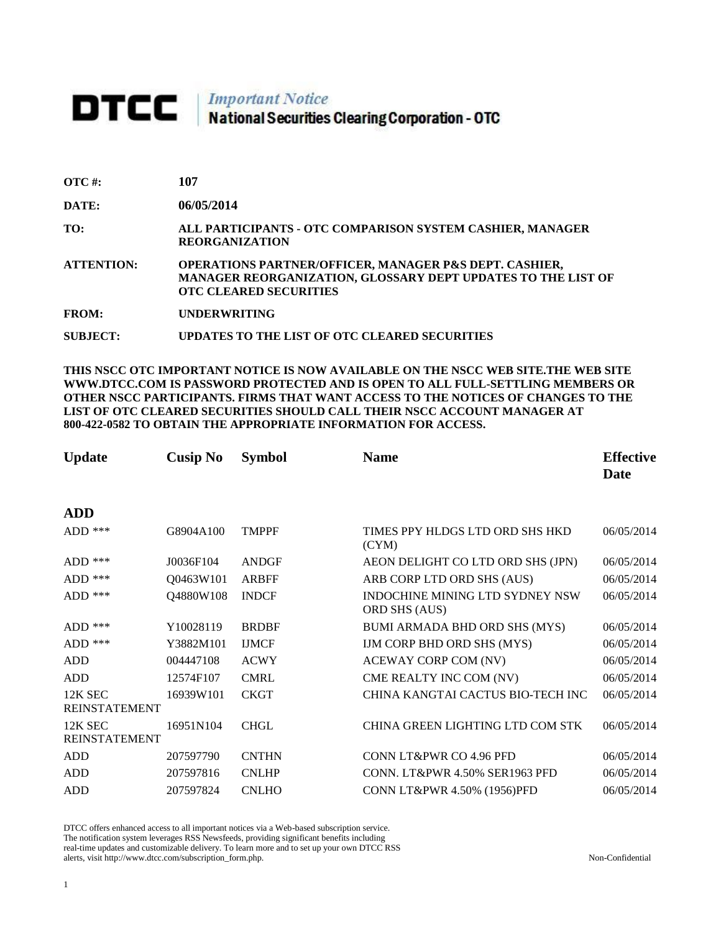# DTCC | Important Notice<br>National Securities Clearing Corporation - OTC

| $\overline{O}TC$ #:              | 107                                                                                       |
|----------------------------------|-------------------------------------------------------------------------------------------|
| DATE:                            | 06/05/2014                                                                                |
| TO:                              | ALL PARTICIPANTS - OTC COMPARISON SYSTEM CASHIER, MANAGER<br><b>REORGANIZATION</b>        |
| $\lambda$ <i>FERENCE LEED AT</i> | $\alpha$ ren i sit $\alpha$ vig di disvedio interaced all'i vi i gen daganche gli griffin |

**ATTENTION: OPERATIONS PARTNER/OFFICER, MANAGER P&S DEPT. CASHIER, MANAGER REORGANIZATION, GLOSSARY DEPT UPDATES TO THE LIST OF OTC CLEARED SECURITIES** 

**FROM: UNDERWRITING**

**SUBJECT: UPDATES TO THE LIST OF OTC CLEARED SECURITIES**

**THIS NSCC OTC IMPORTANT NOTICE IS NOW AVAILABLE ON THE NSCC WEB SITE.THE WEB SITE WWW.DTCC.COM IS PASSWORD PROTECTED AND IS OPEN TO ALL FULL-SETTLING MEMBERS OR OTHER NSCC PARTICIPANTS. FIRMS THAT WANT ACCESS TO THE NOTICES OF CHANGES TO THE LIST OF OTC CLEARED SECURITIES SHOULD CALL THEIR NSCC ACCOUNT MANAGER AT 800-422-0582 TO OBTAIN THE APPROPRIATE INFORMATION FOR ACCESS.** 

| <b>Update</b>                   | <b>Cusip No</b> | <b>Symbol</b> | <b>Name</b>                                             | <b>Effective</b><br>Date |
|---------------------------------|-----------------|---------------|---------------------------------------------------------|--------------------------|
| <b>ADD</b>                      |                 |               |                                                         |                          |
| $ADD$ ***                       | G8904A100       | <b>TMPPF</b>  | TIMES PPY HLDGS LTD ORD SHS HKD<br>(CYM)                | 06/05/2014               |
| ADD $***$                       | J0036F104       | <b>ANDGF</b>  | AEON DELIGHT CO LTD ORD SHS (JPN)                       | 06/05/2014               |
| $ADD$ ***                       | Q0463W101       | <b>ARBFF</b>  | ARB CORP LTD ORD SHS (AUS)                              | 06/05/2014               |
| ADD $***$                       | Q4880W108       | <b>INDCF</b>  | <b>INDOCHINE MINING LTD SYDNEY NSW</b><br>ORD SHS (AUS) | 06/05/2014               |
| ADD $***$                       | Y10028119       | <b>BRDBF</b>  | BUMI ARMADA BHD ORD SHS (MYS)                           | 06/05/2014               |
| ADD $***$                       | Y3882M101       | <b>IJMCF</b>  | IJM CORP BHD ORD SHS (MYS)                              | 06/05/2014               |
| <b>ADD</b>                      | 004447108       | <b>ACWY</b>   | <b>ACEWAY CORP COM (NV)</b>                             | 06/05/2014               |
| <b>ADD</b>                      | 12574F107       | <b>CMRL</b>   | CME REALTY INC COM (NV)                                 | 06/05/2014               |
| 12K SEC<br><b>REINSTATEMENT</b> | 16939W101       | <b>CKGT</b>   | CHINA KANGTAI CACTUS BIO-TECH INC                       | 06/05/2014               |
| 12K SEC<br><b>REINSTATEMENT</b> | 16951N104       | <b>CHGL</b>   | CHINA GREEN LIGHTING LTD COM STK                        | 06/05/2014               |
| <b>ADD</b>                      | 207597790       | <b>CNTHN</b>  | <b>CONN LT&amp;PWR CO 4.96 PFD</b>                      | 06/05/2014               |
| <b>ADD</b>                      | 207597816       | <b>CNLHP</b>  | CONN. LT&PWR 4.50% SER1963 PFD                          | 06/05/2014               |
| ADD                             | 207597824       | <b>CNLHO</b>  | CONN LT&PWR 4.50% (1956)PFD                             | 06/05/2014               |

DTCC offers enhanced access to all important notices via a Web-based subscription service. The notification system leverages RSS Newsfeeds, providing significant benefits including real-time updates and customizable delivery. To learn more and to set up your own DTCC RSS alerts, visit http://www.dtcc.com/subscription\_form.php. Non-Confidential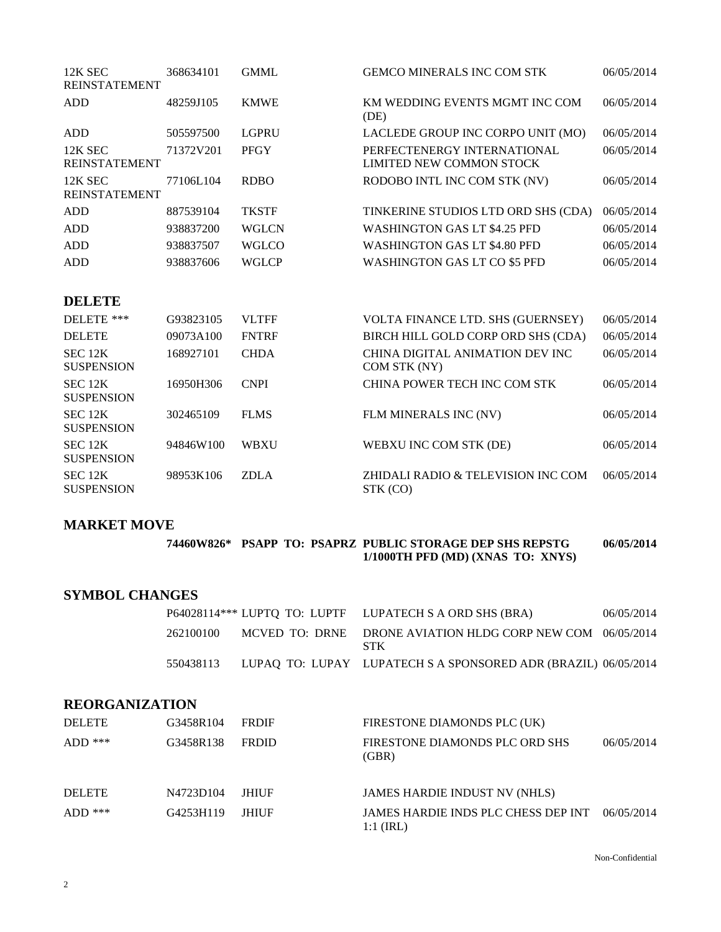| 12K SEC<br><b>REINSTATEMENT</b> | 368634101 | <b>GMML</b>  | <b>GEMCO MINERALS INC COM STK</b>                       | 06/05/2014 |
|---------------------------------|-----------|--------------|---------------------------------------------------------|------------|
| <b>ADD</b>                      | 48259J105 | <b>KMWE</b>  | KM WEDDING EVENTS MGMT INC COM<br>(DE)                  | 06/05/2014 |
| <b>ADD</b>                      | 505597500 | <b>LGPRU</b> | LACLEDE GROUP INC CORPO UNIT (MO)                       | 06/05/2014 |
| 12K SEC<br><b>REINSTATEMENT</b> | 71372V201 | <b>PFGY</b>  | PERFECTENERGY INTERNATIONAL<br>LIMITED NEW COMMON STOCK | 06/05/2014 |
| 12K SEC<br><b>REINSTATEMENT</b> | 77106L104 | <b>RDBO</b>  | RODOBO INTL INC COM STK (NV)                            | 06/05/2014 |
| <b>ADD</b>                      | 887539104 | <b>TKSTF</b> | TINKERINE STUDIOS LTD ORD SHS (CDA)                     | 06/05/2014 |
| <b>ADD</b>                      | 938837200 | <b>WGLCN</b> | WASHINGTON GAS LT \$4.25 PFD                            | 06/05/2014 |
| <b>ADD</b>                      | 938837507 | <b>WGLCO</b> | WASHINGTON GAS LT \$4.80 PFD                            | 06/05/2014 |
| <b>ADD</b>                      | 938837606 | <b>WGLCP</b> | <b>WASHINGTON GAS LT CO \$5 PFD</b>                     | 06/05/2014 |
| <b>DELETE</b>                   |           |              |                                                         |            |
| DELETE ***                      | G93823105 | <b>VLTFF</b> | VOLTA FINANCE LTD. SHS (GUERNSEY)                       | 06/05/2014 |
| <b>DELETE</b>                   | 09073A100 | <b>FNTRF</b> | BIRCH HILL GOLD CORP ORD SHS (CDA)                      | 06/05/2014 |
| SEC 12K<br><b>SUSPENSION</b>    | 168927101 | <b>CHDA</b>  | CHINA DIGITAL ANIMATION DEV INC<br>COM STK (NY)         | 06/05/2014 |
| SEC 12K<br><b>CLICDEMICIONI</b> | 16950H306 | <b>CNPI</b>  | CHINA POWER TECH INC COM STK                            | 06/05/2014 |

| <b>SUSPENSION</b>            |           |             |                                                |            |
|------------------------------|-----------|-------------|------------------------------------------------|------------|
| SEC 12K<br><b>SUSPENSION</b> | 302465109 | <b>FLMS</b> | FLM MINERALS INC (NV)                          | 06/05/2014 |
| SEC 12K<br><b>SUSPENSION</b> | 94846W100 | WBXU        | WEBXU INC COM STK (DE)                         | 06/05/2014 |
| SEC 12K<br><b>SUSPENSION</b> | 98953K106 | ZDLA        | ZHIDALI RADIO & TELEVISION INC COM<br>STK (CO) | 06/05/2014 |

## **MARKET MOVE**

#### **74460W826\* PSAPP TO: PSAPRZ PUBLIC STORAGE DEP SHS REPSTG 1/1000TH PFD (MD) (XNAS TO: XNYS) 06/05/2014**

### **SYMBOL CHANGES**

|           | P64028114*** LUPTO TO: LUPTF LUPATECH S A ORD SHS (BRA)                  | 06/05/2014 |
|-----------|--------------------------------------------------------------------------|------------|
| 262100100 | MCVED TO: DRNE DRONE AVIATION HLDG CORP NEW COM 06/05/2014<br><b>STK</b> |            |
|           | 550438113 LUPAO TO: LUPAY LUPATECH S A SPONSORED ADR (BRAZIL) 06/05/2014 |            |

# **REORGANIZATION**

| <b>DELETE</b> | G3458R104 | <b>FRDIF</b> | FIRESTONE DIAMONDS PLC (UK)                        |            |
|---------------|-----------|--------------|----------------------------------------------------|------------|
| $ADD$ ***     | G3458R138 | <b>FRDID</b> | FIRESTONE DIAMONDS PLC ORD SHS<br>(GBR)            | 06/05/2014 |
| <b>DELETE</b> | N4723D104 | <b>JHIUF</b> | JAMES HARDIE INDUST NV (NHLS)                      |            |
| $ADD$ ***     | G4253H119 | JHIUF        | JAMES HARDIE INDS PLC CHESS DEP INT<br>$1:1$ (IRL) | 06/05/2014 |

Non-Confidential